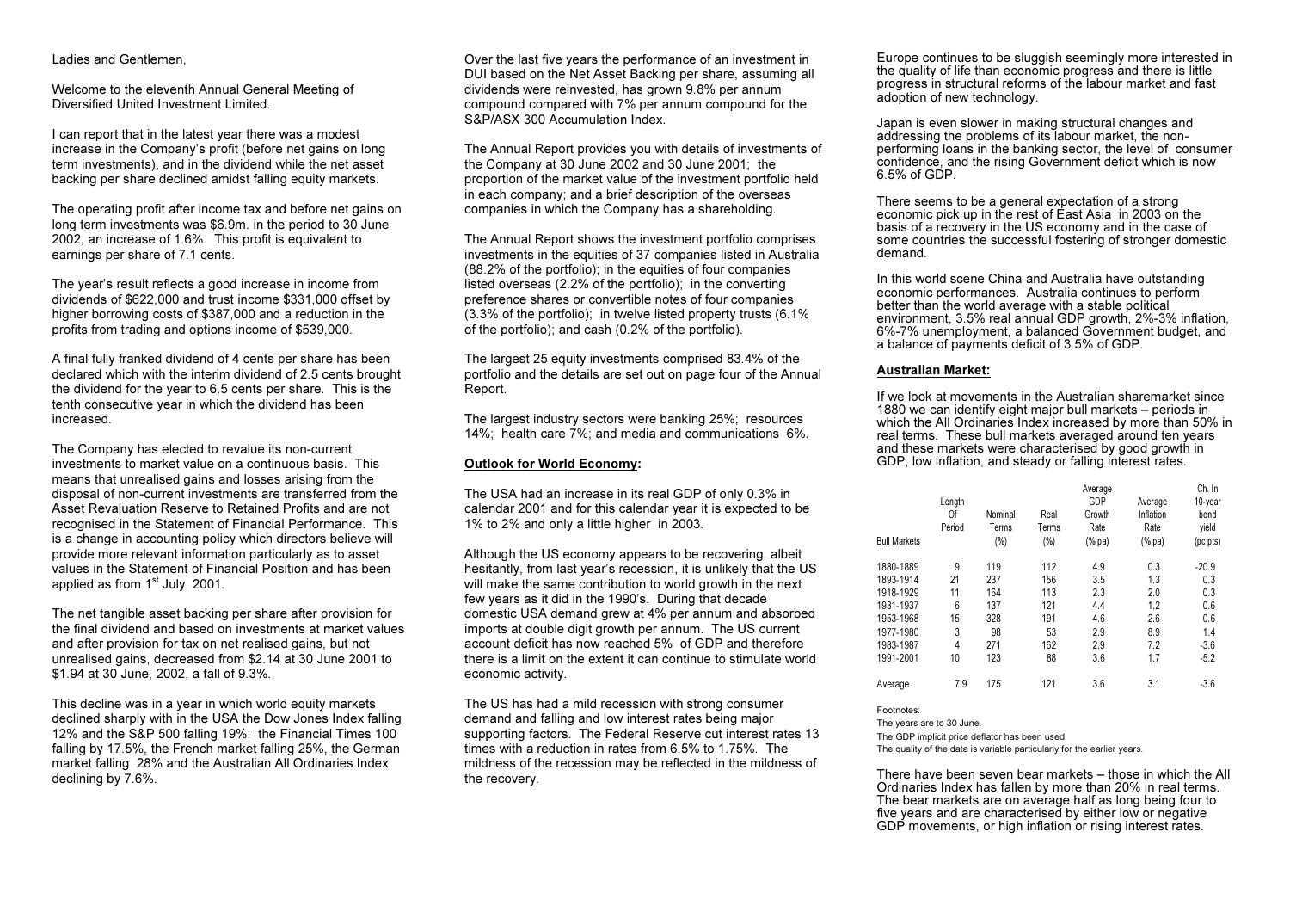#### Ladies and Gentlemen,

Welcome to the eleventh Annual General Meeting of Diversified United Investment Limited.

I can report that in the latest year there was a modest increase in the Company's profit (before net gains on long term investments), and in the dividend while the net asset backing per share declined amidst falling equity markets.

The operating profit after income tax and before net gains on long term investments was \$6.9m. in the period to 30 June 2002, an increase of 1.6%. This profit is equivalent to earnings per share of 7.1 cents.

The year's result reflects a good increase in income from dividends of \$622,000 and trust income \$331,000 offset by higher borrowing costs of \$387,000 and a reduction in the profits from trading and options income of \$539,000.

A final fully franked dividend of 4 cents per share has been declared which with the interim dividend of 2.5 cents brought the dividend for the year to 6.5 cents per share. This is the tenth consecutive year in which the dividend has been increased.

The Company has elected to revalue its non-current investments to market value on a continuous basis. Thismeans that unrealised gains and losses arising from the disposal of non-current investments are transferred from the Asset Revaluation Reserve to Retained Profits and are notrecognised in the Statement of Financial Performance. This is a change in accounting policy which directors believe will provide more relevant information particularly as to asset values in the Statement of Financial Position and has beenapplied as from  $1<sup>st</sup>$  July, 2001.

The net tangible asset backing per share after provision for the final dividend and based on investments at market valuesand after provision for tax on net realised gains, but not unrealised gains, decreased from \$2.14 at 30 June 2001 to \$1.94 at 30 June, 2002, a fall of 9.3%.

This decline was in a year in which world equity markets declined sharply with in the USA the Dow Jones Index falling 12% and the S&P 500 falling 19%; the Financial Times 100 falling by 17.5%, the French market falling 25%, the German market falling 28% and the Australian All Ordinaries Index declining by 7.6%.

Over the last five years the performance of an investment in DUI based on the Net Asset Backing per share, assuming all dividends were reinvested, has grown 9.8% per annum compound compared with 7% per annum compound for the S&P/ASX 300 Accumulation Index.

The Annual Report provides you with details of investments of the Company at 30 June 2002 and 30 June 2001; the proportion of the market value of the investment portfolio held in each company; and a brief description of the overseas companies in which the Company has a shareholding.

The Annual Report shows the investment portfolio comprises investments in the equities of 37 companies listed in Australia (88.2% of the portfolio); in the equities of four companies listed overseas (2.2% of the portfolio); in the converting preference shares or convertible notes of four companies (3.3% of the portfolio); in twelve listed property trusts (6.1% of the portfolio); and cash (0.2% of the portfolio).

The largest 25 equity investments comprised 83.4% of the portfolio and the details are set out on page four of the Annual Report.

The largest industry sectors were banking 25%; resources 14%; health care 7%; and media and communications 6%.

### Outlook for World Economy:

The USA had an increase in its real GDP of only 0.3% in calendar 2001 and for this calendar year it is expected to be 1% to 2% and only a little higher in 2003.

Although the US economy appears to be recovering, albeit hesitantly, from last year's recession, it is unlikely that the US will make the same contribution to world growth in the next few years as it did in the 1990's. During that decade domestic USA demand grew at 4% per annum and absorbed imports at double digit growth per annum. The US current account deficit has now reached 5% of GDP and thereforethere is a limit on the extent it can continue to stimulate worldeconomic activity.

The US has had a mild recession with strong consumer demand and falling and low interest rates being major supporting factors. The Federal Reserve cut interest rates 13 times with a reduction in rates from 6.5% to 1.75%. Themildness of the recession may be reflected in the mildness of the recovery.

Europe continues to be sluggish seemingly more interested in the quality of life than economic progress and there is little progress in structural reforms of the labour market and fast adoption of new technology.

Japan is even slower in making structural changes and addressing the problems of its labour market, the nonperforming loans in the banking sector, the level of consumer confidence, and the rising Government deficit which is now 6.5% of GDP.

There seems to be a general expectation of a strong economic pick up in the rest of East Asia in 2003 on the basis of a recovery in the US economy and in the case of some countries the successful fostering of stronger domestic demand.

In this world scene China and Australia have outstanding economic performances. Australia continues to perform better than the world average with a stable political environment, 3.5% real annual GDP growth, 2%-3% inflation, 6%-7% unemployment, a balanced Government budget, and a balance of payments deficit of 3.5% of GDP.

#### Australian Market:

If we look at movements in the Australian sharemarket since1880 we can identify eight major bull markets – periods in which the All Ordinaries Index increased by more than 50% in real terms. These bull markets averaged around ten years and these markets were characterised by good growth in GDP, low inflation, and steady or falling interest rates.

| <b>Bull Markets</b> | Length<br>0f<br>Period | Nominal<br>Terms<br>(%) | Real<br>Terms<br>(%) | Average<br>GDP<br>Growth<br>Rate<br>(% pa) | Average<br>Inflation<br>Rate<br>(% pa) | Ch. In<br>10-year<br>bond<br>yield<br>(pc pts) |
|---------------------|------------------------|-------------------------|----------------------|--------------------------------------------|----------------------------------------|------------------------------------------------|
| 1880-1889           | 9                      | 119                     | 112                  | 4.9                                        | 0.3                                    | $-20.9$                                        |
| 1893-1914           | 21                     | 237                     | 156                  | 3.5                                        | 1.3                                    | 0.3                                            |
| 1918-1929           | 11                     | 164                     | 113                  | 2.3                                        | 2.0                                    | 0.3                                            |
| 1931-1937           | 6                      | 137                     | 121                  | 4.4                                        | 1.2                                    | 0.6                                            |
| 1953-1968           | 15                     | 328                     | 191                  | 4.6                                        | 2.6                                    | 0.6                                            |
| 1977-1980           | 3                      | 98                      | 53                   | 2.9                                        | 8.9                                    | 1.4                                            |
| 1983-1987           | $\overline{4}$         | 271                     | 162                  | 2.9                                        | 7.2                                    | $-3.6$                                         |
| 1991-2001           | 10                     | 123                     | 88                   | 3.6                                        | 1.7                                    | $-5.2$                                         |
| Average             | 7.9                    | 175                     | 121                  | 3.6                                        | 3.1                                    | $-3.6$                                         |

Footnotes:

The years are to 30 June. The GDP implicit price deflator has been used. The quality of the data is variable particularly for the earlier years.

There have been seven bear markets – those in which the AllOrdinaries Index has fallen by more than 20% in real terms. The bear markets are on average half as long being four to five years and are characterised by either low or negative GDP movements, or high inflation or rising interest rates.